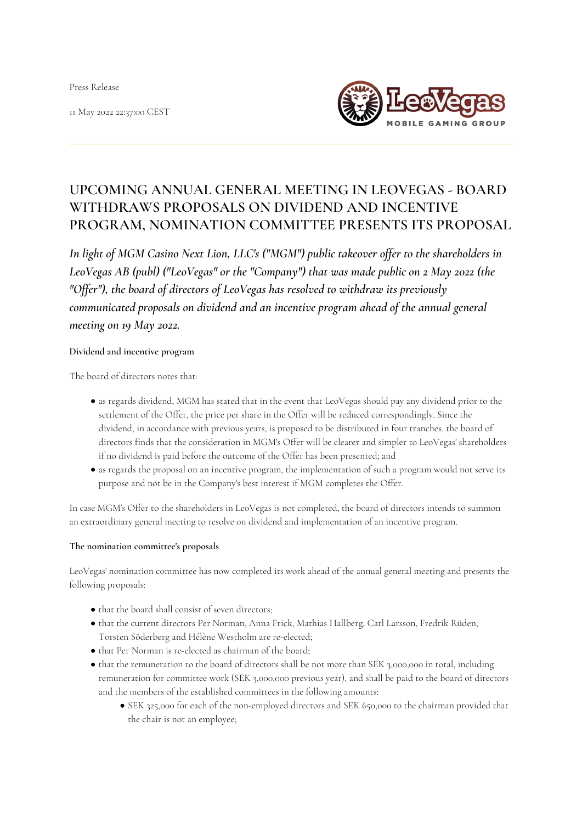Press Release

11 May 2022 22:37:00 CEST



# **UPCOMING ANNUAL GENERAL MEETING IN LEOVEGAS - BOARD WITHDRAWS PROPOSALS ON DIVIDEND AND INCENTIVE PROGRAM, NOMINATION COMMITTEE PRESENTS ITS PROPOSAL**

*In light of MGM Casino Next Lion, LLC's ("MGM") public takeover offer to the shareholders in LeoVegas AB (publ) ("LeoVegas" or the "Company") that was made public on 2 May 2022 (the "Offer"), the board of directors of LeoVegas has resolved to withdraw its previously communicated proposals on dividend and an incentive program ahead of the annual general meeting on 19 May 2022.*

#### **Dividend and incentive program**

The board of directors notes that:

- as regards dividend, MGM has stated that in the event that LeoVegas should pay any dividend prior to the settlement of the Offer, the price per share in the Offer will be reduced correspondingly. Since the dividend, in accordance with previous years, is proposed to be distributed in four tranches, the board of directors finds that the consideration in MGM's Offer will be clearer and simpler to LeoVegas' shareholders if no dividend is paid before the outcome of the Offer has been presented; and
- as regards the proposal on an incentive program, the implementation of such a program would not serve its purpose and not be in the Company's best interest if MGM completes the Offer.

In case MGM's Offer to the shareholders in LeoVegas is not completed, the board of directors intends to summon an extraordinary general meeting to resolve on dividend and implementation of an incentive program.

#### **The nomination committee's proposals**

LeoVegas' nomination committee has now completed its work ahead of the annual general meeting and presents the following proposals:

- $\bullet$  that the board shall consist of seven directors;
- that the current directors Per Norman, Anna Frick, Mathias Hallberg, Carl Larsson, Fredrik Rüden, Torsten Söderberg and Hélène Westholm are re-elected;
- that Per Norman is re-elected as chairman of the board;
- that the remuneration to the board of directors shall be not more than SEK 3,000,000 in total, including remuneration for committee work (SEK 3,000,000 previous year), and shall be paid to the board of directors and the members of the established committees in the following amounts:
	- SEK 325,000 for each of the non-employed directors and SEK 650,000 to the chairman provided that the chair is not an employee;